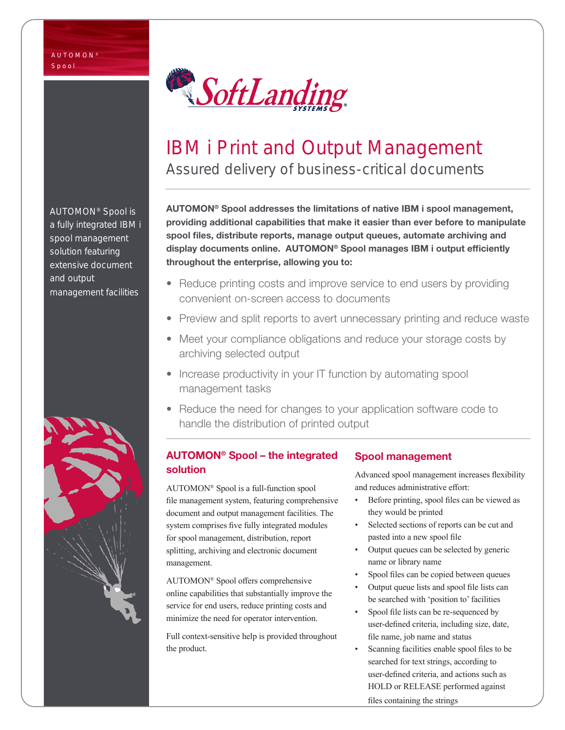

# IBM i Print and Output Management Assured delivery of business-critical documents

AUTOMON® Spool addresses the limitations of native IBM i spool management, providing additional capabilities that make it easier than ever before to manipulate spool files, distribute reports, manage output queues, automate archiving and display documents online. AUTOMON® Spool manages IBM i output efficiently throughout the enterprise, allowing you to:

- Reduce printing costs and improve service to end users by providing convenient on-screen access to documents
- Preview and split reports to avert unnecessary printing and reduce waste
- Meet your compliance obligations and reduce your storage costs by archiving selected output
- Increase productivity in your IT function by automating spool management tasks
- Reduce the need for changes to your application software code to handle the distribution of printed output

# AUTOMON® Spool – the integrated solution

AUTOMON® Spool is a full-function spool file management system, featuring comprehensive document and output management facilities. The system comprises five fully integrated modules for spool management, distribution, report splitting, archiving and electronic document management.

AUTOMON® Spool offers comprehensive online capabilities that substantially improve the service for end users, reduce printing costs and minimize the need for operator intervention.

Full context-sensitive help is provided throughout the product.

# Spool management

Advanced spool management increases flexibility and reduces administrative effort:

- Before printing, spool files can be viewed as they would be printed
- Selected sections of reports can be cut and pasted into a new spool file
- Output queues can be selected by generic name or library name
- Spool files can be copied between queues
- Output queue lists and spool file lists can be searched with 'position to' facilities
- Spool file lists can be re-sequenced by user-defined criteria, including size, date, file name, job name and status
- Scanning facilities enable spool files to be searched for text strings, according to user-defined criteria, and actions such as HOLD or RELEASE performed against

files containing the strings

AUTOMON® Spool is a fully integrated IBM i spool management solution featuring extensive document and output management facilities